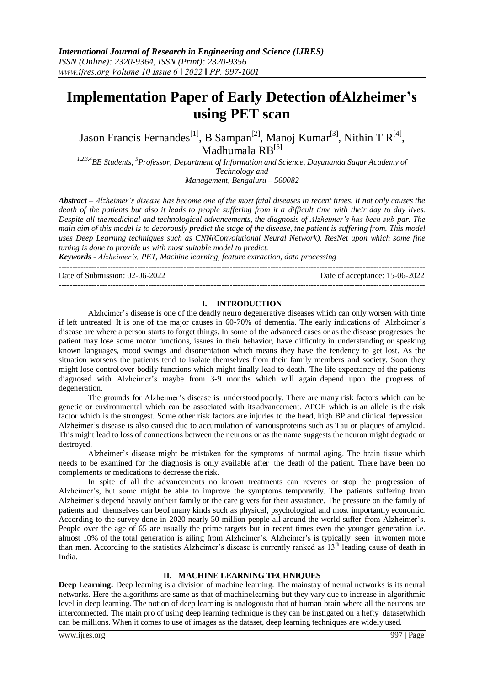# **Implementation Paper of Early Detection ofAlzheimer's using PET scan**

Jason Francis Fernandes<sup>[1]</sup>, B Sampan<sup>[2]</sup>, Manoj Kumar<sup>[3]</sup>, Nithin T R<sup>[4]</sup>, Madhumala RB<sup>[5]</sup>

*1,2,3,4BE Students, <sup>5</sup>Professor, Department of Information and Science, Dayananda Sagar Academy of Technology and Management, Bengaluru – 560082*

*Abstract – Alzheimer's disease has become one of the most fatal diseases in recent times. It not only causes the death of the patients but also it leads to people suffering from it a difficult time with their day to day lives. Despite all themedicinal and technological advancements, the diagnosis of Alzheimer's has been sub-par. The main aim of this model is to decorously predict the stage of the disease, the patient is suffering from. This model uses Deep Learning techniques such as CNN(Convolutional Neural Network), ResNet upon which some fine tuning is done to provide us with most suitable model to predict.*

*Keywords - Alzheimer's, PET, Machine learning, feature extraction, data processing*

---------------------------------------------------------------------------------------------------------------------------------------

Date of Submission: 02-06-2022 Date of acceptance: 15-06-2022

---------------------------------------------------------------------------------------------------------------------------------------

## **I. INTRODUCTION**

Alzheimer's disease is one of the deadly neuro degenerative diseases which can only worsen with time if left untreated. It is one of the major causes in 60-70% of dementia. The early indications of Alzheimer's disease are where a person starts to forget things. In some of the advanced cases or as the disease progresses the patient may lose some motor functions, issues in their behavior, have difficulty in understanding or speaking known languages, mood swings and disorientation which means they have the tendency to get lost. As the situation worsens the patients tend to isolate themselves from their family members and society. Soon they might lose controlover bodily functions which might finally lead to death. The life expectancy of the patients diagnosed with Alzheimer's maybe from 3-9 months which will again depend upon the progress of degeneration.

The grounds for Alzheimer's disease is understoodpoorly. There are many risk factors which can be genetic or environmental which can be associated with its advancement. APOE which is an allele is the risk factor which is the strongest. Some other risk factors are injuries to the head, high BP and clinical depression. Alzheimer's disease is also caused due to accumulation of variousproteins such as Tau or plaques of amyloid. This might lead to loss of connections between the neurons or as the name suggests the neuron might degrade or destroyed.

Alzheimer's disease might be mistaken for the symptoms of normal aging. The brain tissue which needs to be examined for the diagnosis is only available after the death of the patient. There have been no complements or medications to decrease the risk.

In spite of all the advancements no known treatments can reveres or stop the progression of Alzheimer's, but some might be able to improve the symptoms temporarily. The patients suffering from Alzheimer's depend heavily ontheir family or the care givers for their assistance. The pressure on the family of patients and themselves can beof many kinds such as physical, psychological and most importantly economic. According to the survey done in 2020 nearly 50 million people all around the world suffer from Alzheimer's. People over the age of 65 are usually the prime targets but in recent times even the younger generation i.e. almost 10% of the total generation is ailing from Alzheimer's. Alzheimer's is typically seen inwomen more than men. According to the statistics Alzheimer's disease is currently ranked as  $13<sup>th</sup>$  leading cause of death in India.

## **II. MACHINE LEARNING TECHNIQUES**

**Deep Learning:** Deep learning is a division of machine learning. The mainstay of neural networks is its neural networks. Here the algorithms are same as that of machinelearning but they vary due to increase in algorithmic level in deep learning. The notion of deep learning is analogousto that of human brain where all the neurons are interconnected. The main pro of using deep learning technique is they can be instigated on a hefty datasetwhich can be millions. When it comes to use of images as the dataset, deep learning techniques are widely used.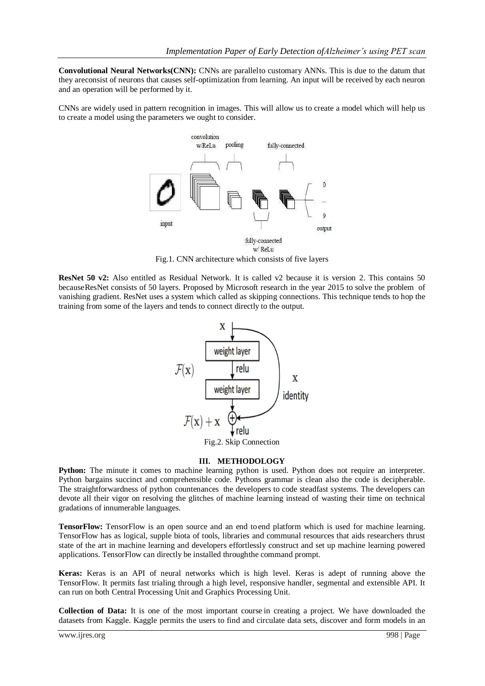**Convolutional Neural Networks(CNN):** CNNs are parallelto customary ANNs. This is due to the datum that they areconsist of neurons that causes self-optimization from learning. An input will be received by each neuron and an operation will be performed by it.

CNNs are widely used in pattern recognition in images. This will allow us to create a model which will help us to create a model using the parameters we ought to consider.



Fig.1. CNN architecture which consists of five layers

**ResNet 50 v2:** Also entitled as Residual Network. It is called v2 because it is version 2. This contains 50 becauseResNet consists of 50 layers. Proposed by Microsoft research in the year 2015 to solve the problem of vanishing gradient. ResNet uses a system which called as skipping connections. This technique tends to hop the training from some of the layers and tends to connect directly to the output.



Fig.2. Skip Connection

## **III. METHODOLOGY**

Python: The minute it comes to machine learning python is used. Python does not require an interpreter. Python bargains succinct and comprehensible code. Pythons grammar is clean also the code is decipherable. The straightforwardness of python countenances the developers to code steadfast systems. The developers can devote all their vigor on resolving the glitches of machine learning instead of wasting their time on technical gradations of innumerable languages.

**TensorFlow:** TensorFlow is an open source and an end toend platform which is used for machine learning. TensorFlow has as logical, supple biota of tools, libraries and communal resources that aids researchers thrust state of the art in machine learning and developers effortlessly construct and set up machine learning powered applications. TensorFlow can directly be installed throughthe command prompt.

**Keras:** Keras is an API of neural networks which is high level. Keras is adept of running above the TensorFlow. It permits fast trialing through a high level, responsive handler, segmental and extensible API. It can run on both Central Processing Unit and Graphics Processing Unit.

**Collection of Data:** It is one of the most important course in creating a project. We have downloaded the datasets from Kaggle. Kaggle permits the users to find and circulate data sets, discover and form models in an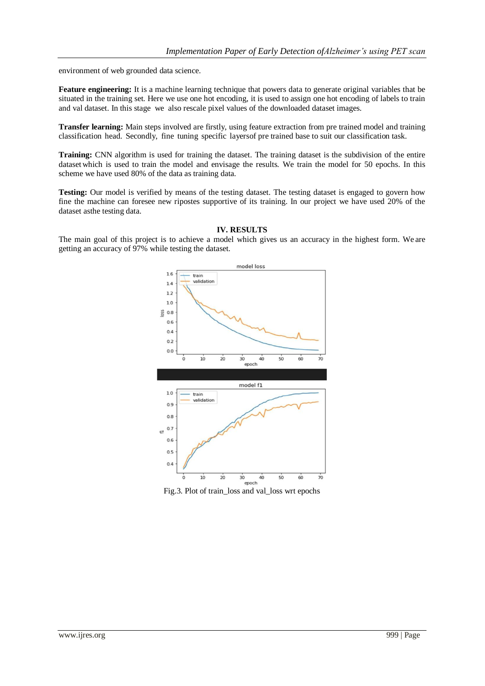environment of web grounded data science.

**Feature engineering:** It is a machine learning technique that powers data to generate original variables that be situated in the training set. Here we use one hot encoding, it is used to assign one hot encoding of labels to train and val dataset. In this stage we also rescale pixel values of the downloaded dataset images.

**Transfer learning:** Main steps involved are firstly, using feature extraction from pre trained model and training classification head. Secondly, fine tuning specific layersof pre trained base to suit our classification task.

**Training:** CNN algorithm is used for training the dataset. The training dataset is the subdivision of the entire dataset which is used to train the model and envisage the results. We train the model for 50 epochs. In this scheme we have used 80% of the data as training data.

**Testing:** Our model is verified by means of the testing dataset. The testing dataset is engaged to govern how fine the machine can foresee new ripostes supportive of its training. In our project we have used 20% of the dataset asthe testing data.



#### **IV. RESULTS**

The main goal of this project is to achieve a model which gives us an accuracy in the highest form. We are getting an accuracy of 97% while testing the dataset.

Fig.3. Plot of train\_loss and val\_loss wrt epochs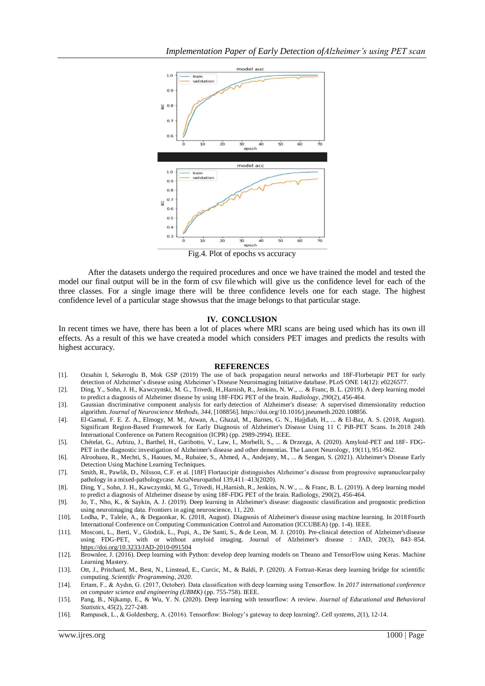

Fig.4. Plot of epochs vs accuracy

After the datasets undergo the required procedures and once we have trained the model and tested the model our final output will be in the form of csv filewhich will give us the confidence level for each of the three classes. For a single image there will be three confidence levels one for each stage. The highest confidence level of a particular stage showsus that the image belongs to that particular stage.

#### **IV. CONCLUSION**

In recent times we have, there has been a lot of places where MRI scans are being used which has its own ill effects. As a result of this we have createda model which considers PET images and predicts the results with highest accuracy.

#### **REFERENCES**

- [1]. Ozsahin I, Sekeroglu B, Mok GSP (2019) The use of back propagation neural networks and 18F-Florbetapir PET for early detection of Alzheimer's disease using Alzheimer's Disease Neuroimaging Initiative database. PLoS ONE 14(12): e0226577.
- [2]. Ding, Y., Sohn, J. H., Kawczynski, M. G., Trivedi, H.,Harnish, R., Jenkins, N. W., ... & Franc, B. L. (2019). A deep learning model to predict a diagnosis of Alzheimer disease by using 18F-FDG PET of the brain. *Radiology*, *290*(2), 456-464.
- [3]. Gaussian discriminative component analysis for early detection of Alzheimer's disease: A supervised dimensionality reduction algorithm. *Journal of Neuroscience Methods*, *344*, [108856]. https://doi.org/10.1016/j.jneumeth.2020.108856.
- [4]. El-Gamal, F. E. Z. A., Elmogy, M. M., Atwan, A., Ghazal, M., Barnes, G. N., Hajjdiab, H., ... & El-Baz, A. S. (2018, August). Significant Region-Based Framework for Early Diagnosis of Alzheimer's Disease Using 11 C PiB-PET Scans. In 2018 24th International Conference on Pattern Recognition (ICPR) (pp. 2989-2994). IEEE.
- [5]. Chételat, G., Arbizu, J., Barthel, H., Garibotto, V., Law, I., Morbelli, S., ... & Drzezga, A. (2020). Amyloid-PET and 18F- FDG-PET in the diagnostic investigation of Alzheimer's disease and other dementias. The Lancet Neurology, 19(11), 951-962.
- [6]. Alroobaea, R., Mechti, S., Haoues, M., Rubaiee, S., Ahmed, A., Andejany, M., ... & Sengan, S. (2021). Alzheimer's Disease Early Detection Using Machine Learning Techniques.
- [7]. Smith, R., Pawlik, D., Nilsson, C.F. et al. [18F] Flortaucipir distinguishes Alzheimer's disease from progressive supranuclearpalsy pathology in a mixed-pathologycase. ActaNeuropathol 139,411–413(2020).
- [8]. Ding, Y., Sohn, J. H., Kawczynski, M. G., Trivedi, H.,Harnish, R., Jenkins, N. W., ... & Franc, B. L. (2019). A deep learning model to predict a diagnosis of Alzheimer disease by using 18F-FDG PET of the brain. Radiology, 290(2), 456-464.
- [9]. Jo, T., Nho, K., & Saykin, A. J. (2019). Deep learning in Alzheimer's disease: diagnostic classification and prognostic prediction using neuroimaging data. Frontiers in aging neuroscience, 11, 220.
- [10]. Lodha, P., Talele, A., & Degaonkar, K. (2018, August). Diagnosis of Alzheimer's disease using machine learning. In 2018Fourth International Conference on Computing Communication Control and Automation (ICCUBEA) (pp. 1-4). IEEE.
- [11]. Mosconi, L., Berti, V., Glodzik, L., Pupi, A., De Santi, S., &de Leon, M. J. (2010). Pre-clinical detection of Alzheimer'sdisease using FDG-PET, with or without amyloid imaging. Journal of Alzheimer's disease : JAD, 20(3), 843–854. <https://doi.org/10.3233/JAD-2010-091504>
- [12]. Brownlee, J. (2016). Deep learning with Python: develop deep learning models on Theano and TensorFlow using Keras. Machine Learning Mastery.
- [13]. Ott, J., Pritchard, M., Best, N., Linstead, E., Curcic, M., & Baldi, P. (2020). A Fortran-Keras deep learning bridge for scientific computing. *Scientific Programming*, *2020*.
- [14]. Ertam, F., & Aydın, G. (2017, October). Data classification with deep learning using Tensorflow. In *2017 international conference on computer science and engineering (UBMK)* (pp. 755-758). IEEE.
- [15]. Pang, B., Nijkamp, E., & Wu, Y. N. (2020). Deep learning with tensorflow: A review. *Journal of Educational and Behavioral Statistics*, *45*(2), 227-248.
- [16]. Rampasek, L., & Goldenberg, A. (2016). Tensorflow: Biology's gateway to deep learning?. *Cell systems*, *2*(1), 12-14.